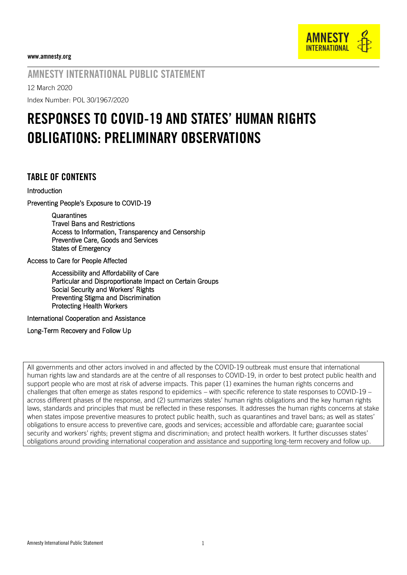

#### www.amnesty.org

# AMNESTY INTERNATIONAL PUBLIC STATEMENT

12 March 2020

Index Number: POL 30/1967/2020

# RESPONSES TO COVID-19 AND STATES' HUMAN RIGHTS OBLIGATIONS: PRELIMINARY OBSERVATIONS

## TABLE OF CONTENTS

#### Introduction

Preventing People's Exposure to COVID-19

**Quarantines** Travel Bans and Restrictions Access to Information, Transparency and Censorship Preventive Care, Goods and Services States of Emergency

Access to Care for People Affected

Accessibility and Affordability of Care Particular and Disproportionate Impact on Certain Groups Social Security and Workers' Rights Preventing Stigma and Discrimination Protecting Health Workers

International Cooperation and Assistance

Long-Term Recovery and Follow Up

All governments and other actors involved in and affected by the COVID-19 outbreak must ensure that international human rights law and standards are at the centre of all responses to COVID-19, in order to best protect public health and support people who are most at risk of adverse impacts. This paper (1) examines the human rights concerns and challenges that often emerge as states respond to epidemics – with specific reference to state responses to COVID-19 – across different phases of the response, and (2) summarizes states' human rights obligations and the key human rights laws, standards and principles that must be reflected in these responses. It addresses the human rights concerns at stake when states impose preventive measures to protect public health, such as quarantines and travel bans; as well as states' obligations to ensure access to preventive care, goods and services; accessible and affordable care; guarantee social security and workers' rights; prevent stigma and discrimination; and protect health workers. It further discusses states' obligations around providing international cooperation and assistance and supporting long-term recovery and follow up.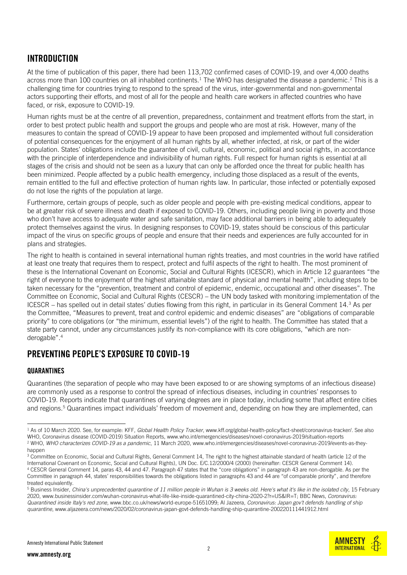# INTRODUCTION

At the time of publication of this paper, there had been 113,702 confirmed cases of COVID-19, and over 4,000 deaths across more than 100 countries on all inhabited continents. <sup>1</sup> The WHO has designated the disease a pandemic. <sup>2</sup> This is a challenging time for countries trying to respond to the spread of the virus, inter-governmental and non-governmental actors supporting their efforts, and most of all for the people and health care workers in affected countries who have faced, or risk, exposure to COVID-19.

Human rights must be at the centre of all prevention, preparedness, containment and treatment efforts from the start, in order to best protect public health and support the groups and people who are most at risk. However, many of the measures to contain the spread of COVID-19 appear to have been proposed and implemented without full consideration of potential consequences for the enjoyment of all human rights by all, whether infected, at risk, or part of the wider population. States' obligations include the guarantee of civil, cultural, economic, political and social rights, in accordance with the principle of interdependence and indivisibility of human rights. Full respect for human rights is essential at all stages of the crisis and should not be seen as a luxury that can only be afforded once the threat for public health has been minimized. People affected by a public health emergency, including those displaced as a result of the events, remain entitled to the full and effective protection of human rights law. In particular, those infected or potentially exposed do not lose the rights of the population at large.

Furthermore, certain groups of people, such as older people and people with pre-existing medical conditions, appear to be at greater risk of severe illness and death if exposed to COVID-19. Others, including people living in poverty and those who don't have access to adequate water and safe sanitation, may face additional barriers in being able to adequately protect themselves against the virus. In designing responses to COVID-19, states should be conscious of this particular impact of the virus on specific groups of people and ensure that their needs and experiences are fully accounted for in plans and strategies.

The right to health is contained in several international human rights treaties, and most countries in the world have ratified at least one treaty that requires them to respect, protect and fulfil aspects of the right to health. The most prominent of these is the International Covenant on Economic, Social and Cultural Rights (ICESCR), which in Article 12 guarantees "the right of everyone to the enjoyment of the highest attainable standard of physical and mental health", including steps to be taken necessary for the "prevention, treatment and control of epidemic, endemic, occupational and other diseases". The Committee on Economic, Social and Cultural Rights (CESCR) – the UN body tasked with monitoring implementation of the ICESCR – has spelled out in detail states' duties flowing from this right, in particular in its General Comment 14.<sup>3</sup> As per the Committee, "Measures to prevent, treat and control epidemic and endemic diseases" are "obligations of comparable priority" to core obligations (or "the minimum, essential levels") of the right to health. The Committee has stated that a state party cannot, under any circumstances justify its non-compliance with its core obligations, "which are nonderogable".<sup>4</sup>

# PREVENTING PEOPLE'S EXPOSURE TO COVID-19

## **QUARANTINES**

-

Quarantines (the separation of people who may have been exposed to or are showing symptoms of an infectious disease) are commonly used as a response to control the spread of infectious diseases, including in countries' responses to COVID-19. Reports indicate that quarantines of varying degrees are in place today, including some that affect entire cities and regions.<sup>5</sup> Quarantines impact individuals' freedom of movement and, depending on how they are implemented, can

<sup>5</sup> Business Insider, *China's unprecedented quarantine of 11 million people in Wuhan is 3 weeks old. Here's what it's like in the isolated city*, 15 February 2020, [www.businessinsider.com/wuhan-coronavirus-what-life-like-inside-quarantined-city-china-2020-2?r=US&IR=T;](http://www.businessinsider.com/wuhan-coronavirus-what-life-like-inside-quarantined-city-china-2020-2?r=US&IR=T) BBC News, *Coronavirus: Quarantined inside Italy's red zone,* [www.bbc.co.uk/news/world-europe-51651099;](http://www.bbc.co.uk/news/world-europe-51651099) Al Jazeera, *Coronavirus: Japan gov't defends handling of ship quarantine*[, www.aljazeera.com/news/2020/02/coronavirus-japan-govt-defends-handling-ship-quarantine-200220111441912.html](http://www.aljazeera.com/news/2020/02/coronavirus-japan-govt-defends-handling-ship-quarantine-200220111441912.html)





<sup>1</sup> As of 10 March 2020. See, for example: KFF, *Global Health Policy Tracker*[, www.kff.org/global-health-policy/fact-sheet/coronavirus-tracker/.](http://www.kff.org/global-health-policy/fact-sheet/coronavirus-tracker/) See also WHO, Coronavirus disease (COVID-2019) Situation Reports[, www.who.int/emergencies/diseases/novel-coronavirus-2019/situation-reports](http://www.who.int/emergencies/diseases/novel-coronavirus-2019/situation-reports) <sup>2</sup> WHO, *WHO characterizes COVID-19 as a pandemic*, 11 March 2020, www.who.int/emergencies/diseases/novel-coronavirus-2019/events-as-theyhappen

<sup>&</sup>lt;sup>3</sup> Committee on Economic, Social and Cultural Rights, General Comment 14, The right to the highest attainable standard of health (article 12 of the International Covenant on Economic, Social and Cultural Rights), UN Doc. E/C.12/2000/4 (2000) (hereinafter: CESCR [General Comment 14\)](https://tbinternet.ohchr.org/_layouts/15/treatybodyexternal/Download.aspx?symbolno=E%2fC.12%2f2000%2f4&Lang=en). <sup>4</sup> CESCR [General Comment 14](https://tbinternet.ohchr.org/_layouts/15/treatybodyexternal/Download.aspx?symbolno=E%2fC.12%2f2000%2f4&Lang=en), paras 43, 44 and 47. Paragraph 47 states that the "core obligations" in paragraph 43 are non-derogable. As per the Committee in paragraph 44, states' responsibilities towards the obligations listed in paragraphs 43 and 44 are "of comparable priority", and therefore treated equivalently.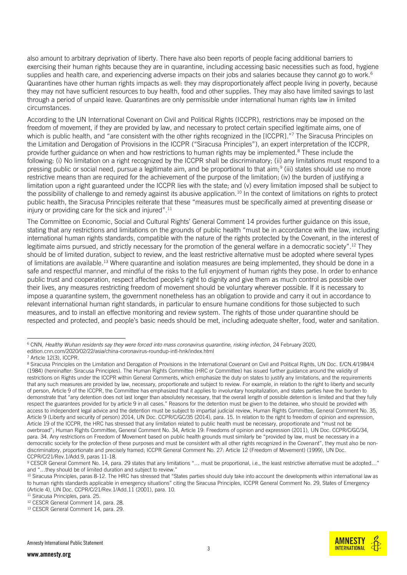also amount to arbitrary deprivation of liberty. There have also been reports of people facing additional barriers to exercising their human rights because they are in quarantine, including accessing basic necessities such as food, hygiene supplies and health care, and experiencing adverse impacts on their jobs and salaries because they cannot go to work.<sup>6</sup> Quarantines have other human rights impacts as well: they may disproportionately affect people living in poverty, because they may not have sufficient resources to buy health, food and other supplies. They may also have limited savings to last through a period of unpaid leave. Quarantines are only permissible under international human rights law in limited circumstances.

According to the UN International Covenant on Civil and Political Rights (ICCPR), restrictions may be imposed on the freedom of movement, if they are provided by law, and necessary to protect certain specified legitimate aims, one of which is public health, and "are consistent with the other rights recognized in the [ICCPR]."<sup>7</sup> The Siracusa Principles on the Limitation and Derogation of Provisions in the ICCPR ("Siracusa Principles"), an expert interpretation of the ICCPR, provide further guidance on when and how restrictions to human rights may be implemented.<sup>8</sup> These include the following: (i) No limitation on a right recognized by the ICCPR shall be discriminatory; (ii) any limitations must respond to a pressing public or social need, pursue a legitimate aim, and be proportional to that aim;<sup>9</sup> (iii) states should use no more restrictive means than are required for the achievement of the purpose of the limitation; (iv) the burden of justifying a limitation upon a right guaranteed under the ICCPR lies with the state; and (v) every limitation imposed shall be subject to the possibility of challenge to and remedy against its abusive application.<sup>10</sup> In the context of limitations on rights to protect public health, the Siracusa Principles reiterate that these "measures must be specifically aimed at preventing disease or injury or providing care for the sick and injured".<sup>11</sup>

The Committee on Economic, Social and Cultural Rights' General Comment 14 provides further guidance on this issue, stating that any restrictions and limitations on the grounds of public health "must be in accordance with the law, including international human rights standards, compatible with the nature of the rights protected by the Covenant, in the interest of legitimate aims pursued, and strictly necessary for the promotion of the general welfare in a democratic society".<sup>12</sup> They should be of limited duration, subject to review, and the least restrictive alternative must be adopted where several types of limitations are available.<sup>13</sup> Where quarantine and isolation measures are being implemented, they should be done in a safe and respectful manner, and mindful of the risks to the full enjoyment of human rights they pose. In order to enhance public trust and cooperation, respect affected people's right to dignity and give them as much control as possible over their lives, any measures restricting freedom of movement should be voluntary wherever possible. If it is necessary to impose a quarantine system, the government nonetheless has an obligation to provide and carry it out in accordance to relevant international human right standards, in particular to ensure humane conditions for those subjected to such measures, and to install an effective monitoring and review system. The rights of those under quarantine should be respected and protected, and people's basic needs should be met, including adequate shelter, food, water and sanitation.

<sup>11</sup> Siracusa Principles, para. 25.

<sup>-</sup><sup>6</sup> CNN, *Healthy Wuhan residents say they were forced into mass coronavirus quarantine, risking infection*, 24 February 2020, [edition.cnn.com/2020/02/22/asia/china-coronavirus-roundup-intl-hnk/index.html](https://edition.cnn.com/2020/02/22/asia/china-coronavirus-roundup-intl-hnk/index.html) 

<sup>7</sup> Article 12(3), ICCPR.

<sup>&</sup>lt;sup>8</sup> Siracusa Principles on the Limitation and Derogation of Provisions in the International Covenant on Civil and Political Rights, UN Doc. E/CN.4/1984/4 (1984) (hereinafter: Siracusa Principles). The Human Rights Committee (HRC or Committee) has issued further guidance around the validity of restrictions on Rights under the ICCPR within General Comments, which emphasize the duty on states to justify any limitations, and the requirements that any such measures are provided by law, necessary, proportionate and subject to review. For example, in relation to the right to liberty and security of person, Article 9 of the ICCPR, the Committee has emphasized that it applies to involuntary hospitalization, and states parties have the burden to demonstrate that "any detention does not last longer than absolutely necessary, that the overall length of possible detention is limited and that they fully respect the guarantees provided for by article 9 in all cases." Reasons for the detention must be given to the detainee, who should be provided with access to independent legal advice and the detention must be subject to impartial judicial review, Human Rights Committee, General Comment No. 35, Article 9 (Liberty and security of person) 2014, UN Doc. CCPR/C/GC/35 (2014), para. 15. In relation to the right to freedom of opinion and expression, Article 19 of the ICCPR, the HRC has stressed that any limitation related to public health must be necessary, proportionate and "must not be overbroad"; Human Rights Committee, General Comment No. 34, Article 19: Freedoms of opinion and expression (2011), UN Doc. CCPR/C/GC/34, para. 34. Any restrictions on Freedom of Movement based on public health grounds must similarly be "provided by law, must be necessary in a democratic society for the protection of these purposes and must be consistent with all other rights recognized in the Covenant", they must also be nondiscriminatory, proportionate and precisely framed; ICCPR General Comment No. 27: Article 12 (Freedom of Movement) (1999), UN Doc. CCPR/C/21/Rev.1/Add.9, paras 11-18.

<sup>9</sup> CESCR General Comment No. 14, para. 29 states that any limitations "... must be proportional, i.e., the least restrictive alternative must be adopted..." and "…they should be of limited duration and subject to review."

<sup>&</sup>lt;sup>10</sup> Siracusa Principles, paras 8-12. The HRC has stressed that "States parties should duly take into account the developments within international law as to human rights standards applicable in emergency situations" citing the Siracusa Principles, ICCPR General Comment No. 29, States of Emergency (Article 4), UN Doc. CCPR/C/21/Rev.1/Add.11 (2001), para. 10.

<sup>&</sup>lt;sup>12</sup> CESC[R General Comment 14,](https://tbinternet.ohchr.org/_layouts/15/treatybodyexternal/Download.aspx?symbolno=E%2fC.12%2f2000%2f4&Lang=en) para. 28.

<sup>13</sup> CESC[R General Comment 14,](https://tbinternet.ohchr.org/_layouts/15/treatybodyexternal/Download.aspx?symbolno=E%2fC.12%2f2000%2f4&Lang=en) para. 29.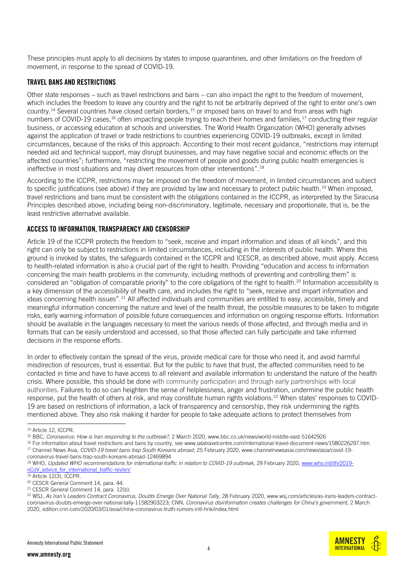These principles must apply to all decisions by states to impose quarantines, and other limitations on the freedom of movement, in response to the spread of COVID-19.

## TRAVEL BANS AND RESTRICTIONS

Other state responses – such as travel restrictions and bans – can also impact the right to the freedom of movement, which includes the freedom to leave any country and the right to not be arbitrarily deprived of the right to enter one's own country.<sup>14</sup> Several countries have closed certain borders,<sup>15</sup> or imposed bans on travel to and from areas with high numbers of COVID-19 cases,<sup>16</sup> often impacting people trying to reach their homes and families,<sup>17</sup> conducting their regular business, or accessing education at schools and universities. The World Health Organization (WHO) generally advises against the application of travel or trade restrictions to countries experiencing COVID-19 outbreaks, except in limited circumstances, because of the risks of this approach. According to their most recent guidance, "restrictions may interrupt needed aid and technical support, may disrupt businesses, and may have negative social and economic effects on the affected countries"; furthermore, "restricting the movement of people and goods during public health emergencies is ineffective in most situations and may divert resources from other interventions".<sup>18</sup>

According to the ICCPR, restrictions may be imposed on the freedom of movement, in limited circumstances and subject to specific justifications (see above) if they are provided by law and necessary to protect public health. <sup>19</sup> When imposed, travel restrictions and bans must be consistent with the obligations contained in the ICCPR, as interpreted by the Siracusa Principles described above, including being non-discriminatory, legitimate, necessary and proportionate, that is, be the least restrictive alternative available.

#### ACCESS TO INFORMATION, TRANSPARENCY AND CENSORSHIP

Article 19 of the ICCPR protects the freedom to "seek, receive and impart information and ideas of all kinds", and this right can only be subject to restrictions in limited circumstances, including in the interests of public health. Where this ground is invoked by states, the safeguards contained in the ICCPR and ICESCR, as described above, must apply. Access to health-related information is also a crucial part of the right to health. Providing "education and access to information concerning the main health problems in the community, including methods of preventing and controlling them" is considered an "obligation of comparable priority" to the core obligations of the right to health. <sup>20</sup> Information accessibility is a key dimension of the accessibility of health care, and includes the right to "seek, receive and impart information and ideas concerning health issues".<sup>21</sup> All affected individuals and communities are entitled to easy, accessible, timely and meaningful information concerning the nature and level of the health threat, the possible measures to be taken to mitigate risks, early warning information of possible future consequences and information on ongoing response efforts. Information should be available in the languages necessary to meet the various needs of those affected, and through media and in formats that can be easily understood and accessed, so that those affected can fully participate and take informed decisions in the response efforts.

In order to effectively contain the spread of the virus, provide medical care for those who need it, and avoid harmful misdirection of resources, trust is essential. But for the public to have that trust, the affected communities need to be contacted in time and have to have access to all relevant and available information to understand the nature of the health crisis. Where possible, this should be done with community participation and through early partnerships with local authorities. Failures to do so can heighten the sense of helplessness, anger and frustration, undermine the public health response, put the health of others at risk, and may constitute human rights violations.<sup>22</sup> When states' responses to COVID-19 are based on restrictions of information, a lack of transparency and censorship, they risk undermining the rights mentioned above. They also risk making it harder for people to take adequate actions to protect themselves from

-

16 For information about travel restrictions and bans by country, se[e www.iatatravelcentre.com/international-travel-document-news/1580226297.htm](www.iatatravelcentre.com/international-travel-document-news/1580226297.htm) <sup>17</sup> Channel News Asia, *COVID-19 travel bans trap South Koreans abroad*, 25 February 2020[, www.channelnewsasia.com/news/asia/covid-19-](http://www.channelnewsasia.com/news/asia/covid-19-coronavirus-travel-bans-trap-south-koreans-abroad-12469894)

[coronavirus-travel-bans-trap-south-koreans-abroad-12469894](http://www.channelnewsasia.com/news/asia/covid-19-coronavirus-travel-bans-trap-south-koreans-abroad-12469894)

**AMNEST INTERNATIONAL** 

<sup>14</sup> Article 12, ICCPR.

<sup>15</sup> BBC, *Coronavirus: How is Iran responding to the outbreak?*, 2 March 2020, [www.bbc.co.uk/news/world-middle-east-51642926](http://www.bbc.co.uk/news/world-middle-east-51642926)

<sup>18</sup> WHO*, Updated WHO recommendations for international traffic in relation to COVID-19 outbreak*, 29 February 2020, [www.who.int/ith/2019](https://www.who.int/ith/2019-nCoV_advice_for_international_traffic-rev/en/) [nCoV\\_advice\\_for\\_international\\_traffic-rev/en/](https://www.who.int/ith/2019-nCoV_advice_for_international_traffic-rev/en/)

 $19$  Article 12(3), ICCPR.

<sup>20</sup> CESC[R General Comment 14,](https://tbinternet.ohchr.org/_layouts/15/treatybodyexternal/Download.aspx?symbolno=E%2fC.12%2f2000%2f4&Lang=en) para. 44.

<sup>21</sup> CESC[R General Comment 14,](https://tbinternet.ohchr.org/_layouts/15/treatybodyexternal/Download.aspx?symbolno=E%2fC.12%2f2000%2f4&Lang=en) para. 12(b).

<sup>22</sup> WSJ, *As Iran's Leaders Contract Coronavirus, Doubts Emerge Over National Tally*, 28 February 2020[, www.wsj.com/articles/as-irans-leaders-contract](file:///C:/Users/sanhita.ambast/AppData/Local/Microsoft/Windows/INetCache/Content.Outlook/75MVXJRS/www.wsj.com/articles/as-irans-leaders-contract-coronavirus-doubts-emerge-over-national-tally-11582903223)[coronavirus-doubts-emerge-over-national-tally-11582903223;](file:///C:/Users/sanhita.ambast/AppData/Local/Microsoft/Windows/INetCache/Content.Outlook/75MVXJRS/www.wsj.com/articles/as-irans-leaders-contract-coronavirus-doubts-emerge-over-national-tally-11582903223) CNN, *Coronavirus disinformation creates challenges for China's government*, 2 March 2020, [edition.cnn.com/2020/03/01/asia/china-coronavirus-truth-rumors-intl-hnk/index.html](file:///C:/Users/sanhita.ambast/AppData/Local/Microsoft/Windows/INetCache/Content.Outlook/75MVXJRS/edition.cnn.com/2020/03/01/asia/china-coronavirus-truth-rumors-intl-hnk/index.html)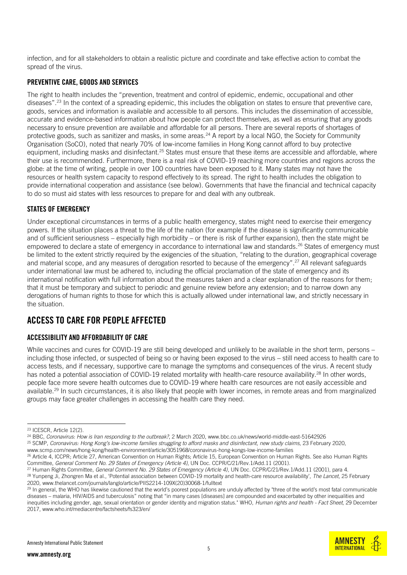infection, and for all stakeholders to obtain a realistic picture and coordinate and take effective action to combat the spread of the virus.

## PREVENTIVE CARE, GOODS AND SERVICES

The right to health includes the "prevention, treatment and control of epidemic, endemic, occupational and other diseases".<sup>23</sup> In the context of a spreading epidemic, this includes the obligation on states to ensure that preventive care, goods, services and information is available and accessible to all persons. This includes the dissemination of accessible, accurate and evidence-based information about how people can protect themselves, as well as ensuring that any goods necessary to ensure prevention are available and affordable for all persons. There are several reports of shortages of protective goods, such as sanitizer and masks, in some areas.<sup>24</sup> A report by a local NGO, the Society for Community Organisation (SoCO), noted that nearly 70% of low-income families in Hong Kong cannot afford to buy protective equipment, including masks and disinfectant.<sup>25</sup> States must ensure that these items are accessible and affordable, where their use is recommended. Furthermore, there is a real risk of COVID-19 reaching more countries and regions across the globe: at the time of writing, people in over 100 countries have been exposed to it. Many states may not have the resources or health system capacity to respond effectively to its spread. The right to health includes the obligation to provide international cooperation and assistance (see below). Governments that have the financial and technical capacity to do so must aid states with less resources to prepare for and deal with any outbreak.

## STATES OF EMERGENCY

Under exceptional circumstances in terms of a public health emergency, states might need to exercise their emergency powers. If the situation places a threat to the life of the nation (for example if the disease is significantly communicable and of sufficient seriousness – especially high morbidity – or there is risk of further expansion), then the state might be empowered to declare a state of emergency in accordance to international law and standards.<sup>26</sup> States of emergency must be limited to the extent strictly required by the exigencies of the situation, "relating to the duration, geographical coverage and material scope, and any measures of derogation resorted to because of the emergency". <sup>27</sup> All relevant safeguards under international law must be adhered to, including the official proclamation of the state of emergency and its international notification with full information about the measures taken and a clear explanation of the reasons for them; that it must be temporary and subject to periodic and genuine review before any extension; and to narrow down any derogations of human rights to those for which this is actually allowed under international law, and strictly necessary in the situation.

# ACCESS TO CARE FOR PEOPLE AFFECTED

## ACCESSIBILITY AND AFFORDABILITY OF CARE

While vaccines and cures for COVID-19 are still being developed and unlikely to be available in the short term, persons – including those infected, or suspected of being so or having been exposed to the virus – still need access to health care to access tests, and if necessary, supportive care to manage the symptoms and consequences of the virus. A recent study has noted a potential association of COVID-19 related mortality with health-care resource availability.<sup>28</sup> In other words, people face more severe health outcomes due to COVID-19 where health care resources are not easily accessible and available.<sup>29</sup> In such circumstances, it is also likely that people with lower incomes, in remote areas and from marginalized groups may face greater challenges in accessing the health care they need.

-

<sup>24</sup> BBC, *Coronavirus: How is Iran responding to the outbreak?*, 2 March 2020, [www.bbc.co.uk/news/world-middle-east-51642926](http://www.bbc.co.uk/news/world-middle-east-51642926)

<sup>25</sup> SCMP, *Coronavirus: Hong Kong's low-income families struggling to afford masks and disinfectant, new study claims*, 23 February 2020, [www.scmp.com/news/hong-kong/health-environment/article/3051968/coronavirus-hong-kongs-low-income-families](http://www.scmp.com/news/hong-kong/health-environment/article/3051968/coronavirus-hong-kongs-low-income-families)

<sup>23</sup> ICESCR, Article 12(2).

<sup>&</sup>lt;sup>26</sup> Article 4, ICCPR; Article 27, American Convention on Human Rights; Article 15, European Convention on Human Rights. See also Human Rights Committee, *General Comment No. 29 States of Emergency (Article 4)*, UN Doc. CCPR/C/21/Rev.1/Add.11 (2001).

<sup>27</sup> Human Rights Committee, *General Comment No. 29 States of Emergency (Article 4)*, UN Doc. CCPR/C/21/Rev.1/Add.11 (2001), para 4. <sup>28</sup> Yunpeng Ji, Zhongren Ma et al., 'Potential association between COVID-19 mortality and health-care resource availability', *The Lancet*, 25 February 2020, [www.thelancet.com/journals/langlo/article/PIIS2214-109X\(20\)30068-1/fulltext](http://www.thelancet.com/journals/langlo/article/PIIS2214-109X(20)30068-1/fulltext)

<sup>&</sup>lt;sup>29</sup> In general, the WHO has likewise cautioned that the world's poorest populations are unduly affected by "three of the world's most fatal communicable diseases – malaria, HIV/AIDS and tuberculosis" noting that "in many cases [diseases] are compounded and exacerbated by other inequalities and inequities including gender, age, sexual orientation or gender identity and migration status." WHO, *Human rights and health - Fact Sheet*, 29 December 2017, www.who.int/mediacentre/factsheets/fs323/en/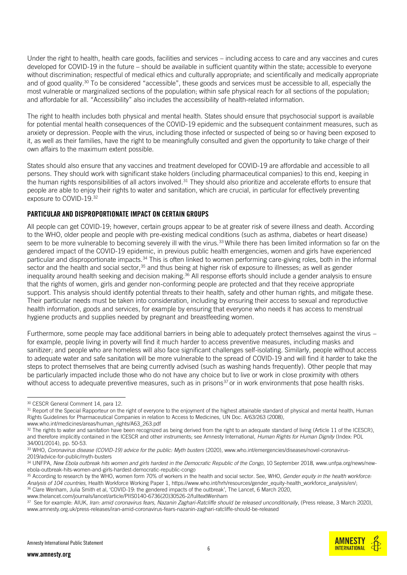Under the right to health, health care goods, facilities and services – including access to care and any vaccines and cures developed for COVID-19 in the future – should be available in sufficient quantity within the state; accessible to everyone without discrimination; respectful of medical ethics and culturally appropriate; and scientifically and medically appropriate and of good quality.<sup>30</sup> To be considered "accessible", these goods and services must be accessible to all, especially the most vulnerable or marginalized sections of the population; within safe physical reach for all sections of the population; and affordable for all. "Accessibility" also includes the accessibility of health-related information.

The right to health includes both physical and mental health. States should ensure that psychosocial support is available for potential mental health consequences of the COVID-19 epidemic and the subsequent containment measures, such as anxiety or depression. People with the virus, including those infected or suspected of being so or having been exposed to it, as well as their families, have the right to be meaningfully consulted and given the opportunity to take charge of their own affairs to the maximum extent possible.

States should also ensure that any vaccines and treatment developed for COVID-19 are affordable and accessible to all persons. They should work with significant stake holders (including pharmaceutical companies) to this end, keeping in the human rights responsibilities of all actors involved.<sup>31</sup> They should also prioritize and accelerate efforts to ensure that people are able to enjoy their rights to water and sanitation, which are crucial, in particular for effectively preventing exposure to COVID-19.<sup>32</sup>

#### PARTICULAR AND DISPROPORTIONATE IMPACT ON CERTAIN GROUPS

All people can get COVID-19; however, certain groups appear to be at greater risk of severe illness and death. According to the WHO, older people and people with pre-existing medical conditions (such as asthma, diabetes or heart disease) seem to be more vulnerable to becoming severely ill with the virus.<sup>33</sup> While there has been limited information so far on the gendered impact of the COVID-19 epidemic, in previous public health emergencies, women and girls have experienced particular and disproportionate impacts.<sup>34</sup> This is often linked to women performing care-giving roles, both in the informal sector and the health and social sector,<sup>35</sup> and thus being at higher risk of exposure to illnesses; as well as gender inequality around health seeking and decision making. <sup>36</sup> All response efforts should include a gender analysis to ensure that the rights of women, girls and gender non-conforming people are protected and that they receive appropriate support. This analysis should identify potential threats to their health, safety and other human rights, and mitigate these. Their particular needs must be taken into consideration, including by ensuring their access to sexual and reproductive health information, goods and services, for example by ensuring that everyone who needs it has access to menstrual hygiene products and supplies needed by pregnant and breastfeeding women.

Furthermore, some people may face additional barriers in being able to adequately protect themselves against the virus – for example, people living in poverty will find it much harder to access preventive measures, including masks and sanitizer; and people who are homeless will also face significant challenges self-isolating. Similarly, people without access to adequate water and safe sanitation will be more vulnerable to the spread of COVID-19 and will find it harder to take the steps to protect themselves that are being currently advised (such as washing hands frequently). Other people that may be particularly impacted include those who do not have any choice but to live or work in close proximity with others without access to adequate preventive measures, such as in prisons $37$  or in work environments that pose health risks.

-

[www.thelancet.com/journals/lancet/article/PIIS0140-6736\(20\)30526-2/fulltextWenham](http://www.thelancet.com/journals/lancet/article/PIIS0140-6736(20)30526-2/fulltextWenham)

<sup>37</sup> See for example: AIUK, *Iran: amid coronavirus fears, Nazanin Zaghari-Ratcliffe should be released unconditionally*, (Press release, 3 March 2020), [www.amnesty.org.uk/press-releases/iran-amid-coronavirus-fears-nazanin-zaghari-ratcliffe-should-be-released](http://www.amnesty.org.uk/press-releases/iran-amid-coronavirus-fears-nazanin-zaghari-ratcliffe-should-be-released)



**AMNEST INTERNATIONAL** 

<sup>30</sup> CESC[R General Comment 14,](https://tbinternet.ohchr.org/_layouts/15/treatybodyexternal/Download.aspx?symbolno=E%2fC.12%2f2000%2f4&Lang=en) para 12.

<sup>31</sup> Report of the Special Rapporteur on the right of everyone to the enjoyment of the highest attainable standard of physical and mental health, Human Rights Guidelines for Pharmaceutical Companies in relation to Access to Medicines, UN Doc. A/63/263 (2008), www.who.int/medicines/areas/human\_rights/A63\_263.pdf

<sup>32</sup> The rights to water and sanitation have been recognized as being derived from the right to an adequate standard of living (Article 11 of the ICESCR), and therefore implicitly contained in the ICESCR and other instruments; see Amnesty International, *Human Rights for Human Dignity* (Index: POL 34/001/2014), pp. 50-53.

<sup>&</sup>lt;sup>33</sup> WHO, *Coronavirus disease (COVID-19) advice for the public: Myth busters (2020), [www.who.int/emergencies/diseases/novel-coronavirus-](http://www.who.int/emergencies/diseases/novel-coronavirus-2019/advice-for-public/myth-busters)*[2019/advice-for-public/myth-busters](http://www.who.int/emergencies/diseases/novel-coronavirus-2019/advice-for-public/myth-busters)

<sup>&</sup>lt;sup>34</sup> UNFPA, New Ebola outbreak hits women and girls hardest in the Democratic Republic of the Congo, 10 September 2018, [www.unfpa.org/news/new](http://www.unfpa.org/news/new-ebola-outbreak-hits-women-and-girls-hardest-democratic-republic-congo)[ebola-outbreak-hits-women-and-girls-hardest-democratic-republic-congo](http://www.unfpa.org/news/new-ebola-outbreak-hits-women-and-girls-hardest-democratic-republic-congo)

<sup>35</sup> According to research by the WHO, women form 70% of workers in the health and social sector. See, WHO, *Gender equity in the health workforce: Analysis of 104 countries*, Health Workforce Working Paper 1, [https://www.who.int/hrh/resources/gender\\_equity-health\\_workforce\\_analysis/en/;](https://www.who.int/hrh/resources/gender_equity-health_workforce_analysis/en/) <sup>36</sup> Clare Wenham, Julia Smith et al, 'COVID-19: the gendered impacts of the outbreak', The Lancet, 6 March 2020,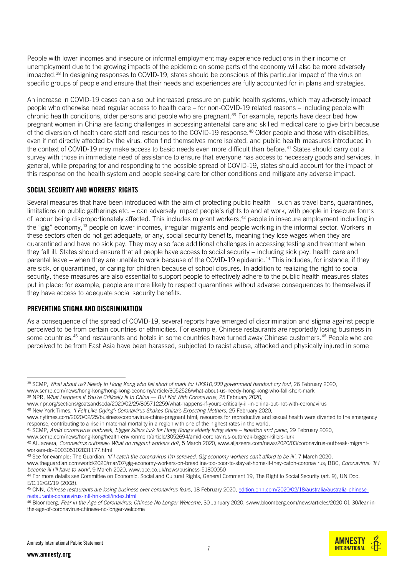People with lower incomes and insecure or informal employment may experience reductions in their income or unemployment due to the growing impacts of the epidemic on some parts of the economy will also be more adversely impacted.<sup>38</sup> In designing responses to COVID-19, states should be conscious of this particular impact of the virus on specific groups of people and ensure that their needs and experiences are fully accounted for in plans and strategies.

An increase in COVID-19 cases can also put increased pressure on public health systems, which may adversely impact people who otherwise need regular access to health care – for non-COVID-19 related reasons – including people with chronic health conditions, older persons and people who are pregnant.<sup>39</sup> For example, reports have described how pregnant women in China are facing challenges in accessing antenatal care and skilled medical care to give birth because of the diversion of health care staff and resources to the COVID-19 response.<sup>40</sup> Older people and those with disabilities, even if not directly affected by the virus, often find themselves more isolated, and public health measures introduced in the context of COVID-19 may make access to basic needs even more difficult than before.<sup>41</sup> States should carry out a survey with those in immediate need of assistance to ensure that everyone has access to necessary goods and services. In general, while preparing for and responding to the possible spread of COVID-19, states should account for the impact of this response on the health system and people seeking care for other conditions and mitigate any adverse impact.

## SOCIAL SECURITY AND WORKERS' RIGHTS

Several measures that have been introduced with the aim of protecting public health – such as travel bans, quarantines, limitations on public gatherings etc. – can adversely impact people's rights to and at work, with people in insecure forms of labour being disproportionately affected. This includes migrant workers, <sup>42</sup> people in insecure employment including in the "gig" economy, <sup>43</sup> people on lower incomes, irregular migrants and people working in the informal sector. Workers in these sectors often do not get adequate, or any, social security benefits, meaning they lose wages when they are quarantined and have no sick pay. They may also face additional challenges in accessing testing and treatment when they fall ill. States should ensure that all people have access to social security – including sick pay, health care and parental leave – when they are unable to work because of the COVID-19 epidemic. <sup>44</sup> This includes, for instance, if they are sick, or quarantined, or caring for children because of school closures. In addition to realizing the right to social security, these measures are also essential to support people to effectively adhere to the public health measures states put in place: for example, people are more likely to respect quarantines without adverse consequences to themselves if they have access to adequate social security benefits.

#### PREVENTING STIGMA AND DISCRIMINATION

As a consequence of the spread of COVID-19, several reports have emerged of discrimination and stigma against people perceived to be from certain countries or ethnicities. For example, Chinese restaurants are reportedly losing business in some countries,<sup>45</sup> and restaurants and hotels in some countries have turned away Chinese customers.<sup>46</sup> People who are perceived to be from East Asia have been harassed, subjected to racist abuse, attacked and physically injured in some

<sup>46</sup> Bloomberg, *Fear in the Age of Coronavirus: Chinese No Longer Welcome*, 30 January 2020, [swww.bloomberg.com/news/articles/2020-01-30/fear-in](http://www.bloomberg.com/news/articles/2020-01-30/fear-in-the-age-of-coronavirus-chinese-no-longer-welcome)[the-age-of-coronavirus-chinese-no-longer-welcome](http://www.bloomberg.com/news/articles/2020-01-30/fear-in-the-age-of-coronavirus-chinese-no-longer-welcome)





<sup>-</sup><sup>38</sup> SCMP, *What about us? Needy in Hong Kong who fall short of mark for HK\$10,000 government handout cry foul*, 26 February 2020, www.scmp.com/news/hong-kong/hong-kong-economy/article/3052526/what-about-us-needy-hong-kong-who-fall-short-mark

<sup>&</sup>lt;sup>39</sup> NPR, *What Happens If You're Critically III In China — But Not With Coronavirus, 25 February 2020,* 

[www.npr.org/sections/goatsandsoda/2020/02/25/805712259/what-happens-if-youre-critically-ill-in-china-but-not-with-coronavirus](http://www.npr.org/sections/goatsandsoda/2020/02/25/805712259/what-happens-if-youre-critically-ill-in-china-but-not-with-coronavirus)

<sup>40</sup> New York Times, *'I Felt Like Crying': Coronavirus Shakes China's Expecting Mothers*, 25 February 2020,

[www.nytimes.com/2020/02/25/business/coronavirus-china-pregnant.html; r](http://www.nytimes.com/2020/02/25/business/coronavirus-china-pregnant.html;)esources for reproductive and sexual health were diverted to the emergency response, contributing to a rise in maternal mortality in a region with one of the highest rates in the world.

<sup>41</sup> SCMP, *Amid coronavirus outbreak, bigger killers lurk for Hong Kong's elderly living alone – isolation and panic*, 29 February 2020,

www.scmp.com/news/hong-kong/health-environment/article/3052694/amid-coronavirus-outbreak-bigger-killers-lurk

<sup>42</sup> Al Jazeera, *Coronavirus outbreak: What do migrant workers do?*, 5 March 2020[, www.aljazeera.com/news/2020/03/coronavirus-outbreak-migrant](http://www.aljazeera.com/news/2020/03/coronavirus-outbreak-migrant-workers-do-200305102831177.html)[workers-do-200305102831177.html](http://www.aljazeera.com/news/2020/03/coronavirus-outbreak-migrant-workers-do-200305102831177.html)

<sup>43</sup> See for example: The Guardian, *'If I catch the coronavirus I'm screwed. Gig economy workers can't afford to be ill'*, 7 March 2020,

[www.theguardian.com/world/2020/mar/07/gig-economy-workers-on-breadline-too-poor-to-stay-at-home-if-they-catch-coronavirus;](http://www.theguardian.com/world/2020/mar/07/gig-economy-workers-on-breadline-too-poor-to-stay-at-home-if-they-catch-coronavirus) BBC, *Coronavirus: 'If I become ill I'll have to work'*, 9 March 2020, [www.bbc.co.uk/news/business-51800050](http://www.bbc.co.uk/news/business-51800050)

<sup>44</sup> For more details see Committee on Economic, Social and Cultural Rights, General Comment 19, The Right to Social Security (art. 9), UN Doc. E/C.12/GC/19 (2008).

<sup>45</sup> CNN, *Chinese restaurants are losing business over coronavirus fears*, 18 February 2020, [edition.cnn.com/2020/02/18/australia/australia-chinese](https://edition.cnn.com/2020/02/18/australia/australia-chinese-restaurants-coronavirus-intl-hnk-scli/index.html)[restaurants-coronavirus-intl-hnk-scli/index.html](https://edition.cnn.com/2020/02/18/australia/australia-chinese-restaurants-coronavirus-intl-hnk-scli/index.html)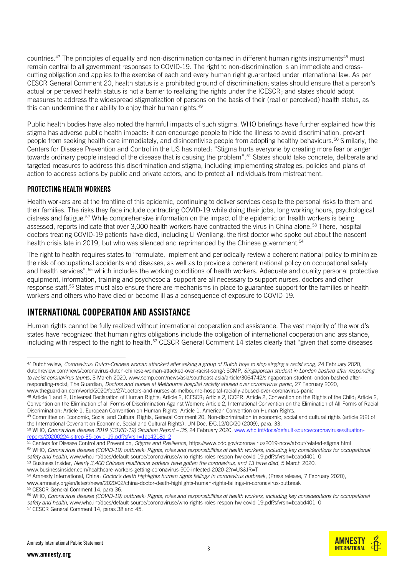countries.<sup>47</sup> The principles of equality and non-discrimination contained in different human rights instruments<sup>48</sup> must remain central to all government responses to COVID-19. The right to non-discrimination is an immediate and crosscutting obligation and applies to the exercise of each and every human right guaranteed under international law. As per CESCR General Comment 20, health status is a prohibited ground of discrimination; states should ensure that a person's actual or perceived health status is not a barrier to realizing the rights under the ICESCR; and states should adopt measures to address the widespread stigmatization of persons on the basis of their (real or perceived) health status, as this can undermine their ability to enjoy their human rights.<sup>49</sup>

Public health bodies have also noted the harmful impacts of such stigma. WHO briefings have further explained how this stigma has adverse public health impacts: it can encourage people to hide the illness to avoid discrimination, prevent people from seeking health care immediately, and disincentivise people from adopting healthy behaviours.<sup>50</sup> Similarly, the Centers for Disease Prevention and Control in the US has noted: "Stigma hurts everyone by creating more fear or anger towards ordinary people instead of the disease that is causing the problem".<sup>51</sup> States should take concrete, deliberate and targeted measures to address this discrimination and stigma, including implementing strategies, policies and plans of action to address actions by public and private actors, and to protect all individuals from mistreatment.

## PROTECTING HEALTH WORKERS

Health workers are at the frontline of this epidemic, continuing to deliver services despite the personal risks to them and their families. The risks they face include contracting COVID-19 while doing their jobs, long working hours, psychological distress and fatigue.<sup>52</sup> While comprehensive information on the impact of the epidemic on health workers is being assessed, reports indicate that over 3,000 health workers have contracted the virus in China alone.<sup>53</sup> There, hospital doctors treating COVID-19 patients have died, including Li Wenliang, the first doctor who spoke out about the nascent health crisis late in 2019, but who was silenced and reprimanded by the Chinese government. 54

The right to health requires states to "formulate, implement and periodically review a coherent national policy to minimize the risk of occupational accidents and diseases, as well as to provide a coherent national policy on occupational safety and health services",<sup>55</sup> which includes the working conditions of health workers. Adequate and quality personal protective equipment, information, training and psychosocial support are all necessary to support nurses, doctors and other response staff.<sup>56</sup> States must also ensure there are mechanisms in place to guarantee support for the families of health workers and others who have died or become ill as a consequence of exposure to COVID-19.

# INTERNATIONAL COOPERATION AND ASSISTANCE

Human rights cannot be fully realized without international cooperation and assistance. The vast majority of the world's states have recognized that human rights obligations include the obligation of international cooperation and assistance, including with respect to the right to health.<sup>57</sup> CESCR General Comment 14 states clearly that "given that some diseases

<sup>51</sup> Centers for Disease Control and Prevention, *Stigma and Resilience*, https://www.cdc.gov/coronavirus/2019-ncov/about/related-stigma.html

[www.businessinsider.com/healthcare-workers-getting-coronavirus-500-infected-2020-2?r=US&IR=T](http://www.businessinsider.com/healthcare-workers-getting-coronavirus-500-infected-2020-2?r=US&IR=T)

<sup>-</sup><sup>47</sup> Dutchreview, *Coronavirus: Dutch-Chinese woman attacked after asking a group of Dutch boys to stop singing a racist song*, 24 February 2020, [dutchreview.com/news/coronavirus-dutch-chinese-woman-attacked-over-racist-song/;](file:///C:/Users/sanhita.ambast/AppData/Local/Microsoft/Windows/INetCache/Content.Outlook/75MVXJRS/dutchreview.com/news/coronavirus-dutch-chinese-woman-attacked-over-racist-song/) SCMP, *Singaporean student in London bashed after responding to racist coronavirus taunts*, 3 March 2020, [www.scmp.com/news/asia/southeast-asia/article/3064742/singaporean-student-london-bashed-after](http://www.scmp.com/news/asia/southeast-asia/article/3064742/singaporean-student-london-bashed-after-responding-racist)[responding-racist;](http://www.scmp.com/news/asia/southeast-asia/article/3064742/singaporean-student-london-bashed-after-responding-racist) The Guardian, *Doctors and nurses at Melbourne hospital racially abused over coronavirus panic*, 27 February 2020, www.theguardian.com/world/2020/feb/27/doctors-and-nurses-at-melbourne-hospital-racially-abused-over-coronavirus-panic

<sup>48</sup> Article 1 and 2, Universal Declaration of Human Rights; Article 2, ICESCR; Article 2, ICCPR; Article 2, Convention on the Rights of the Child; Article 2, Convention on the Elimination of all Forms of Discrimination Against Women; Article 2, International Convention on the Elimination of All Forms of Racial Discrimination; Article 1, European Convention on Human Rights; Article 1, American Convention on Human Rights.

<sup>49</sup> Committee on Economic, Social and Cultural Rights, General Comment 20, Non-discrimination in economic, social and cultural rights (article 2(2) of the International Covenant on Economic, Social and Cultural Rights), UN Doc. E/C.12/GC/20 (2009), para. 33.

<sup>50</sup> WHO, *Coronavirus disease 2019 (COVID-19) Situation Report – 35,* 24 February 2020, www.who.int/docs/default-source/coronaviruse/situationreports/20200224-sitrep-35-covid-19.pdf?sfvrsn=1ac4218d\_2

<sup>52</sup> WHO, *Coronavirus disease (COVID-19) outbreak: Rights, roles and responsibilities of health workers, including key considerations for occupational safety and health,* [www.who.int/docs/default-source/coronaviruse/who-rights-roles-respon-hw-covid-19.pdf?sfvrsn=bcabd401\\_0](http://www.who.int/docs/default-source/coronaviruse/who-rights-roles-respon-hw-covid-19.pdf?sfvrsn=bcabd401_0) <sup>53</sup> Business Insider, *Nearly 3,400 Chinese healthcare workers have gotten the coronavirus, and 13 have died*, 5 March 2020,

<sup>54</sup> Amnesty International, China: *Doctor's death highlights human rights failings in coronavirus outbreak*, (Press release, 7 February 2020),

www.amnesty.org/en/latest/news/2020/02/china-doctor-death-highlights-human-rights-failings-in-coronavirus-outbreak <sup>55</sup> CESC[R General Comment 14,](https://tbinternet.ohchr.org/_layouts/15/treatybodyexternal/Download.aspx?symbolno=E%2fC.12%2f2000%2f4&Lang=en) para 36.

<sup>56</sup> WHO, *Coronavirus disease (COVID-19) outbreak: Rights, roles and responsibilities of health workers, including key considerations for occupational safety and health,* [www.who.int/docs/default-source/coronaviruse/who-rights-roles-respon-hw-covid-19.pdf?sfvrsn=bcabd401\\_0](http://www.who.int/docs/default-source/coronaviruse/who-rights-roles-respon-hw-covid-19.pdf?sfvrsn=bcabd401_0)

<sup>57</sup> CESC[R General Comment 14,](https://tbinternet.ohchr.org/_layouts/15/treatybodyexternal/Download.aspx?symbolno=E%2fC.12%2f2000%2f4&Lang=en) paras 38 and 45.